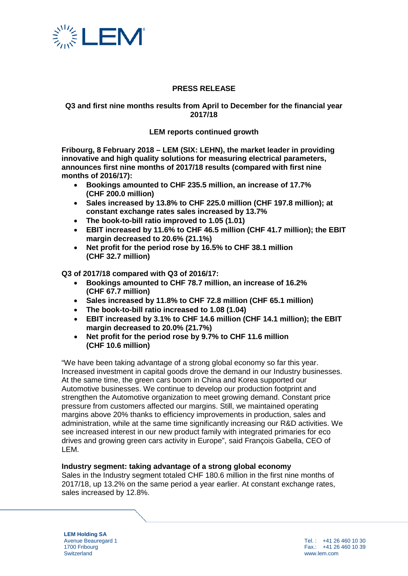

# **PRESS RELEASE**

# **Q3 and first nine months results from April to December for the financial year 2017/18**

# **LEM reports continued growth**

**Fribourg, 8 February 2018 – LEM (SIX: LEHN), the market leader in providing innovative and high quality solutions for measuring electrical parameters, announces first nine months of 2017/18 results (compared with first nine months of 2016/17):** 

- **Bookings amounted to CHF 235.5 million, an increase of 17.7% (CHF 200.0 million)**
- **Sales increased by 13.8% to CHF 225.0 million (CHF 197.8 million); at constant exchange rates sales increased by 13.7%**
- **The book-to-bill ratio improved to 1.05 (1.01)**
- **EBIT increased by 11.6% to CHF 46.5 million (CHF 41.7 million); the EBIT margin decreased to 20.6% (21.1%)**
- **Net profit for the period rose by 16.5% to CHF 38.1 million (CHF 32.7 million)**

**Q3 of 2017/18 compared with Q3 of 2016/17:**

- **Bookings amounted to CHF 78.7 million, an increase of 16.2% (CHF 67.7 million)**
- **Sales increased by 11.8% to CHF 72.8 million (CHF 65.1 million)**
- **The book-to-bill ratio increased to 1.08 (1.04)**
- **EBIT increased by 3.1% to CHF 14.6 million (CHF 14.1 million); the EBIT margin decreased to 20.0% (21.7%)**
- **Net profit for the period rose by 9.7% to CHF 11.6 million (CHF 10.6 million)**

"We have been taking advantage of a strong global economy so far this year. Increased investment in capital goods drove the demand in our Industry businesses. At the same time, the green cars boom in China and Korea supported our Automotive businesses. We continue to develop our production footprint and strengthen the Automotive organization to meet growing demand. Constant price pressure from customers affected our margins. Still, we maintained operating margins above 20% thanks to efficiency improvements in production, sales and administration, while at the same time significantly increasing our R&D activities. We see increased interest in our new product family with integrated primaries for eco drives and growing green cars activity in Europe", said François Gabella, CEO of LEM.

#### **Industry segment: taking advantage of a strong global economy**

Sales in the Industry segment totaled CHF 180.6 million in the first nine months of 2017/18, up 13.2% on the same period a year earlier. At constant exchange rates, sales increased by 12.8%.

**LEM Holding SA** Avenue Beauregard 1 1700 Fribourg **Switzerland**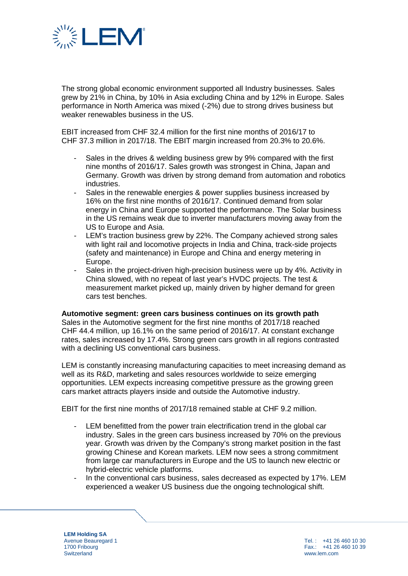

The strong global economic environment supported all Industry businesses. Sales grew by 21% in China, by 10% in Asia excluding China and by 12% in Europe. Sales performance in North America was mixed (-2%) due to strong drives business but weaker renewables business in the US.

EBIT increased from CHF 32.4 million for the first nine months of 2016/17 to CHF 37.3 million in 2017/18. The EBIT margin increased from 20.3% to 20.6%.

- Sales in the drives & welding business grew by 9% compared with the first nine months of 2016/17. Sales growth was strongest in China, Japan and Germany. Growth was driven by strong demand from automation and robotics industries.
- Sales in the renewable energies & power supplies business increased by 16% on the first nine months of 2016/17. Continued demand from solar energy in China and Europe supported the performance. The Solar business in the US remains weak due to inverter manufacturers moving away from the US to Europe and Asia.
- LEM's traction business grew by 22%. The Company achieved strong sales with light rail and locomotive projects in India and China, track-side projects (safety and maintenance) in Europe and China and energy metering in Europe.
- Sales in the project-driven high-precision business were up by 4%. Activity in China slowed, with no repeat of last year's HVDC projects. The test & measurement market picked up, mainly driven by higher demand for green cars test benches.

**Automotive segment: green cars business continues on its growth path** Sales in the Automotive segment for the first nine months of 2017/18 reached CHF 44.4 million, up 16.1% on the same period of 2016/17. At constant exchange rates, sales increased by 17.4%. Strong green cars growth in all regions contrasted with a declining US conventional cars business.

LEM is constantly increasing manufacturing capacities to meet increasing demand as well as its R&D, marketing and sales resources worldwide to seize emerging opportunities. LEM expects increasing competitive pressure as the growing green cars market attracts players inside and outside the Automotive industry.

EBIT for the first nine months of 2017/18 remained stable at CHF 9.2 million.

- LEM benefitted from the power train electrification trend in the global car industry. Sales in the green cars business increased by 70% on the previous year. Growth was driven by the Company's strong market position in the fast growing Chinese and Korean markets. LEM now sees a strong commitment from large car manufacturers in Europe and the US to launch new electric or hybrid-electric vehicle platforms.
- In the conventional cars business, sales decreased as expected by 17%. LEM experienced a weaker US business due the ongoing technological shift.

**LEM Holding SA** Avenue Beauregard 1 1700 Fribourg **Switzerland**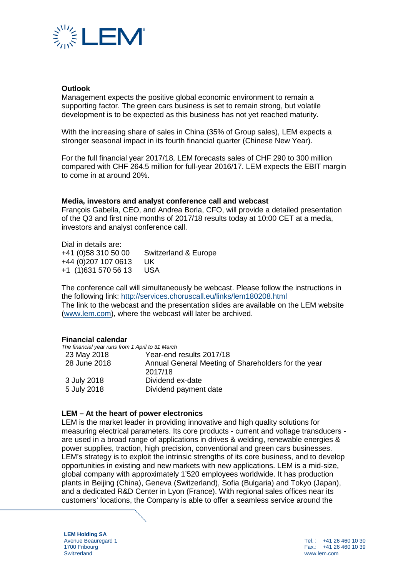

# **Outlook**

Management expects the positive global economic environment to remain a supporting factor. The green cars business is set to remain strong, but volatile development is to be expected as this business has not yet reached maturity.

With the increasing share of sales in China (35% of Group sales), LEM expects a stronger seasonal impact in its fourth financial quarter (Chinese New Year).

For the full financial year 2017/18, LEM forecasts sales of CHF 290 to 300 million compared with CHF 264.5 million for full-year 2016/17. LEM expects the EBIT margin to come in at around 20%.

#### **Media, investors and analyst conference call and webcast**

François Gabella, CEO, and Andrea Borla, CFO, will provide a detailed presentation of the Q3 and first nine months of 2017/18 results today at 10:00 CET at a media, investors and analyst conference call.

Dial in details are: +41 (0)58 310 50 00 Switzerland & Europe +44 (0)207 107 0613 UK  $+1$  (1)631 570 56 13

The conference call will simultaneously be webcast. Please follow the instructions in the following link:<http://services.choruscall.eu/links/lem180208.html> The link to the webcast and the presentation slides are available on the LEM website [\(www.lem.com\)](http://www.lem.com/), where the webcast will later be archived.

#### **Financial calendar**

| The financial year runs from 1 April to 31 March |                                                     |
|--------------------------------------------------|-----------------------------------------------------|
| 23 May 2018                                      | Year-end results 2017/18                            |
| 28 June 2018                                     | Annual General Meeting of Shareholders for the year |
|                                                  | 2017/18                                             |
| 3 July 2018                                      | Dividend ex-date                                    |
| 5 July 2018                                      | Dividend payment date                               |

#### **LEM – At the heart of power electronics**

LEM is the market leader in providing innovative and high quality solutions for measuring electrical parameters. Its core products - current and voltage transducers are used in a broad range of applications in drives & welding, renewable energies & power supplies, traction, high precision, conventional and green cars businesses. LEM's strategy is to exploit the intrinsic strengths of its core business, and to develop opportunities in existing and new markets with new applications. LEM is a mid-size, global company with approximately 1'520 employees worldwide. It has production plants in Beijing (China), Geneva (Switzerland), Sofia (Bulgaria) and Tokyo (Japan), and a dedicated R&D Center in Lyon (France). With regional sales offices near its customers' locations, the Company is able to offer a seamless service around the

**LEM Holding SA** Avenue Beauregard 1 1700 Fribourg **Switzerland**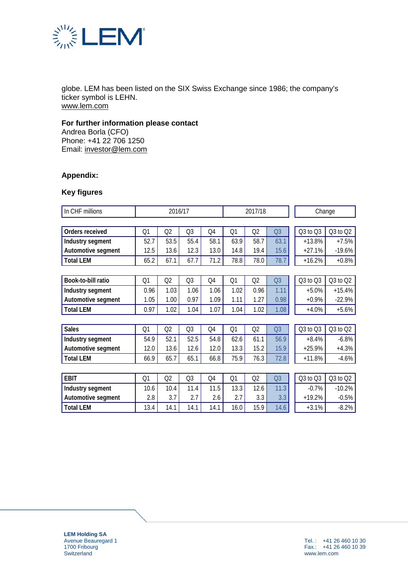

globe. LEM has been listed on the SIX Swiss Exchange since 1986; the company's ticker symbol is LEHN. [www.lem.com](http://www.lem.com/)

# **For further information please contact**

Andrea Borla (CFO) Phone: +41 22 706 1250 Email: [investor@lem.com](mailto:investor@lem.com)

# **Appendix:**

# **Key figures**

| In CHF millions    | 2016/17        |                |                | 2017/18 |      |                | Change         |          |              |
|--------------------|----------------|----------------|----------------|---------|------|----------------|----------------|----------|--------------|
|                    |                |                |                |         |      |                |                |          |              |
| Orders received    | Q1             | Q2             | Q3             | Q4      | Q1   | Q2             | Q <sub>3</sub> | Q3 to Q3 | $Q3$ to $Q2$ |
| Industry segment   | 52.7           | 53.5           | 55.4           | 58.1    | 63.9 | 58.7           | 63.1           | $+13.8%$ | $+7.5%$      |
| Automotive segment | 12.5           | 13.6           | 12.3           | 13.0    | 14.8 | 19.4           | 15.6           | $+27.1%$ | $-19.6%$     |
| <b>Total LEM</b>   | 65.2           | 67.1           | 67.7           | 71.2    | 78.8 | 78.0           | 78.7           | $+16.2%$ | $+0.8%$      |
|                    |                |                |                |         |      |                |                |          |              |
| Book-to-bill ratio | Q1             | Q2             | Q <sub>3</sub> | Q4      | Q1   | Q2             | Q <sub>3</sub> | Q3 to Q3 | $Q3$ to $Q2$ |
| Industry segment   | 0.96           | 1.03           | 1.06           | 1.06    | 1.02 | 0.96           | 1.11           | $+5.0%$  | $+15.4%$     |
| Automotive segment | 1.05           | 1.00           | 0.97           | 1.09    | 1.11 | 1.27           | 0.98           | $+0.9%$  | $-22.9%$     |
| <b>Total LEM</b>   | 0.97           | 1.02           | 1.04           | 1.07    | 1.04 | 1.02           | 1.08           | $+4.0%$  | $+5.6%$      |
|                    |                |                |                |         |      |                |                |          |              |
| <b>Sales</b>       | Q <sub>1</sub> | Q2             | Q3             | Q4      | Q1   | Q2             | Q <sub>3</sub> | Q3 to Q3 | Q3 to Q2     |
| Industry segment   | 54.9           | 52.1           | 52.5           | 54.8    | 62.6 | 61.1           | 56.9           | $+8.4%$  | $-6.8%$      |
| Automotive segment | 12.0           | 13.6           | 12.6           | 12.0    | 13.3 | 15.2           | 15.9           | $+25.9%$ | $+4.3%$      |
| <b>Total LEM</b>   | 66.9           | 65.7           | 65.1           | 66.8    | 75.9 | 76.3           | 72.8           | $+11.8%$ | $-4.6%$      |
|                    |                |                |                |         |      |                |                |          |              |
| <b>EBIT</b>        | Q1             | Q <sub>2</sub> | Q <sub>3</sub> | Q4      | Q1   | Q <sub>2</sub> | Q <sub>3</sub> | Q3 to Q3 | Q3 to Q2     |
| Industry segment   | 10.6           | 10.4           | 11.4           | 11.5    | 13.3 | 12.6           | 11.3           | $-0.7%$  | $-10.2%$     |
| Automotive segment | 2.8            | 3.7            | 2.7            | 2.6     | 2.7  | 3.3            | 3.3            | $+19.2%$ | $-0.5%$      |
| <b>Total LEM</b>   | 13.4           | 14.1           | 14.1           | 14.1    | 16.0 | 15.9           | 14.6           | $+3.1%$  | $-8.2%$      |